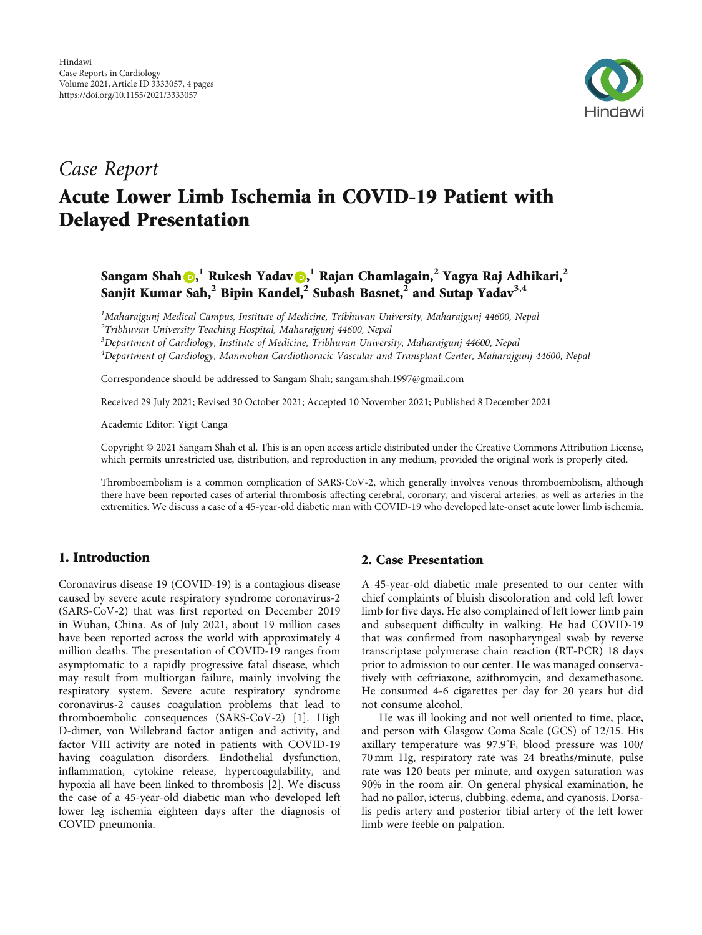

# Case Report Acute Lower Limb Ischemia in COVID-19 Patient with Delayed Presentation

# $\boldsymbol{\mathrm{Sangam~Shah\textcolor{red}{\bigotimes}}^1_1}$  Rukesh Yadav $\boldsymbol{\textcolor{red}{\bigcirc}}^1_2$  Rajan Chamlagain[,](https://orcid.org/0000-0002-0282-0251) $^2$  Yagya Raj Adhikari, $^2$ Sanjit Kumar Sah,**<sup>2</sup>** Bipin Kandel,**<sup>2</sup>** Subash Basnet,**<sup>2</sup>** and Sutap Yadav**3,4**

 $^{\text{1}}$ Maharajgunj Medical Campus, Institute of Medicine, Tribhuvan University, Maharajgunj 44600, Nepal  $^{2}$ Tribhuvan University Teaching Hospital, Maharajgunj 44600, Nepal

<sup>3</sup>Department of Cardiology, Institute of Medicine, Tribhuvan University, Maharajgunj 44600, Nepal

4 Department of Cardiology, Manmohan Cardiothoracic Vascular and Transplant Center, Maharajgunj 44600, Nepal

Correspondence should be addressed to Sangam Shah; sangam.shah.1997@gmail.com

Received 29 July 2021; Revised 30 October 2021; Accepted 10 November 2021; Published 8 December 2021

Academic Editor: Yigit Canga

Copyright © 2021 Sangam Shah et al. This is an open access article distributed under the [Creative Commons Attribution License](https://creativecommons.org/licenses/by/4.0/), which permits unrestricted use, distribution, and reproduction in any medium, provided the original work is properly cited.

Thromboembolism is a common complication of SARS-CoV-2, which generally involves venous thromboembolism, although there have been reported cases of arterial thrombosis affecting cerebral, coronary, and visceral arteries, as well as arteries in the extremities. We discuss a case of a 45-year-old diabetic man with COVID-19 who developed late-onset acute lower limb ischemia.

# 1. Introduction

Coronavirus disease 19 (COVID-19) is a contagious disease caused by severe acute respiratory syndrome coronavirus-2 (SARS-CoV-2) that was first reported on December 2019 in Wuhan, China. As of July 2021, about 19 million cases have been reported across the world with approximately 4 million deaths. The presentation of COVID-19 ranges from asymptomatic to a rapidly progressive fatal disease, which may result from multiorgan failure, mainly involving the respiratory system. Severe acute respiratory syndrome coronavirus-2 causes coagulation problems that lead to thromboembolic consequences (SARS-CoV-2) [[1\]](#page-2-0). High D-dimer, von Willebrand factor antigen and activity, and factor VIII activity are noted in patients with COVID-19 having coagulation disorders. Endothelial dysfunction, inflammation, cytokine release, hypercoagulability, and hypoxia all have been linked to thrombosis [\[2\]](#page-2-0). We discuss the case of a 45-year-old diabetic man who developed left lower leg ischemia eighteen days after the diagnosis of COVID pneumonia.

### 2. Case Presentation

A 45-year-old diabetic male presented to our center with chief complaints of bluish discoloration and cold left lower limb for five days. He also complained of left lower limb pain and subsequent difficulty in walking. He had COVID-19 that was confirmed from nasopharyngeal swab by reverse transcriptase polymerase chain reaction (RT-PCR) 18 days prior to admission to our center. He was managed conservatively with ceftriaxone, azithromycin, and dexamethasone. He consumed 4-6 cigarettes per day for 20 years but did not consume alcohol.

He was ill looking and not well oriented to time, place, and person with Glasgow Coma Scale (GCS) of 12/15. His axillary temperature was 97.9° F, blood pressure was 100/ 70 mm Hg, respiratory rate was 24 breaths/minute, pulse rate was 120 beats per minute, and oxygen saturation was 90% in the room air. On general physical examination, he had no pallor, icterus, clubbing, edema, and cyanosis. Dorsalis pedis artery and posterior tibial artery of the left lower limb were feeble on palpation.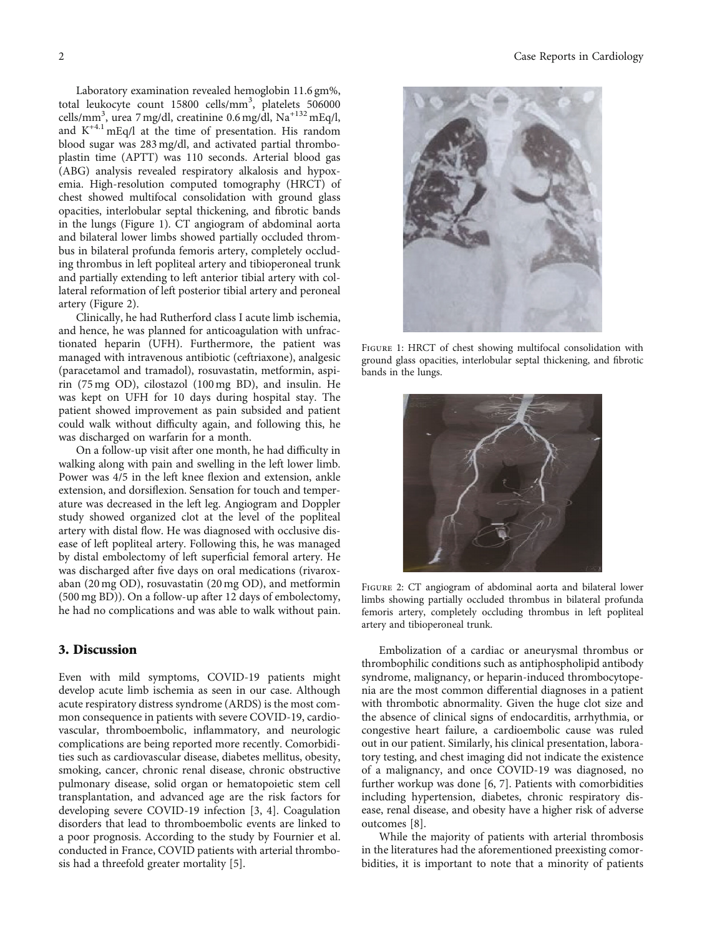Laboratory examination revealed hemoglobin 11.6 gm%, total leukocyte count 15800 cells/mm<sup>3</sup>, platelets 506000 cells/mm<sup>3</sup>, urea 7 mg/dl, creatinine 0.6 mg/dl, Na<sup>+132</sup> mEq/l, and  $K^{+4.1}$  mEq/l at the time of presentation. His random blood sugar was 283 mg/dl, and activated partial thromboplastin time (APTT) was 110 seconds. Arterial blood gas (ABG) analysis revealed respiratory alkalosis and hypoxemia. High-resolution computed tomography (HRCT) of chest showed multifocal consolidation with ground glass opacities, interlobular septal thickening, and fibrotic bands in the lungs (Figure 1). CT angiogram of abdominal aorta and bilateral lower limbs showed partially occluded thrombus in bilateral profunda femoris artery, completely occluding thrombus in left popliteal artery and tibioperoneal trunk and partially extending to left anterior tibial artery with collateral reformation of left posterior tibial artery and peroneal artery (Figure 2).

Clinically, he had Rutherford class I acute limb ischemia, and hence, he was planned for anticoagulation with unfractionated heparin (UFH). Furthermore, the patient was managed with intravenous antibiotic (ceftriaxone), analgesic (paracetamol and tramadol), rosuvastatin, metformin, aspirin (75 mg OD), cilostazol (100 mg BD), and insulin. He was kept on UFH for 10 days during hospital stay. The patient showed improvement as pain subsided and patient could walk without difficulty again, and following this, he was discharged on warfarin for a month.

On a follow-up visit after one month, he had difficulty in walking along with pain and swelling in the left lower limb. Power was 4/5 in the left knee flexion and extension, ankle extension, and dorsiflexion. Sensation for touch and temperature was decreased in the left leg. Angiogram and Doppler study showed organized clot at the level of the popliteal artery with distal flow. He was diagnosed with occlusive disease of left popliteal artery. Following this, he was managed by distal embolectomy of left superficial femoral artery. He was discharged after five days on oral medications (rivaroxaban (20 mg OD), rosuvastatin (20 mg OD), and metformin (500 mg BD)). On a follow-up after 12 days of embolectomy, he had no complications and was able to walk without pain.

#### 3. Discussion

Even with mild symptoms, COVID-19 patients might develop acute limb ischemia as seen in our case. Although acute respiratory distress syndrome (ARDS) is the most common consequence in patients with severe COVID-19, cardiovascular, thromboembolic, inflammatory, and neurologic complications are being reported more recently. Comorbidities such as cardiovascular disease, diabetes mellitus, obesity, smoking, cancer, chronic renal disease, chronic obstructive pulmonary disease, solid organ or hematopoietic stem cell transplantation, and advanced age are the risk factors for developing severe COVID-19 infection [\[3, 4\]](#page-2-0). Coagulation disorders that lead to thromboembolic events are linked to a poor prognosis. According to the study by Fournier et al. conducted in France, COVID patients with arterial thrombosis had a threefold greater mortality [\[5](#page-2-0)].



Figure 1: HRCT of chest showing multifocal consolidation with ground glass opacities, interlobular septal thickening, and fibrotic bands in the lungs.



Figure 2: CT angiogram of abdominal aorta and bilateral lower limbs showing partially occluded thrombus in bilateral profunda femoris artery, completely occluding thrombus in left popliteal artery and tibioperoneal trunk.

Embolization of a cardiac or aneurysmal thrombus or thrombophilic conditions such as antiphospholipid antibody syndrome, malignancy, or heparin-induced thrombocytopenia are the most common differential diagnoses in a patient with thrombotic abnormality. Given the huge clot size and the absence of clinical signs of endocarditis, arrhythmia, or congestive heart failure, a cardioembolic cause was ruled out in our patient. Similarly, his clinical presentation, laboratory testing, and chest imaging did not indicate the existence of a malignancy, and once COVID-19 was diagnosed, no further workup was done [[6, 7](#page-2-0)]. Patients with comorbidities including hypertension, diabetes, chronic respiratory disease, renal disease, and obesity have a higher risk of adverse outcomes [[8\]](#page-2-0).

While the majority of patients with arterial thrombosis in the literatures had the aforementioned preexisting comorbidities, it is important to note that a minority of patients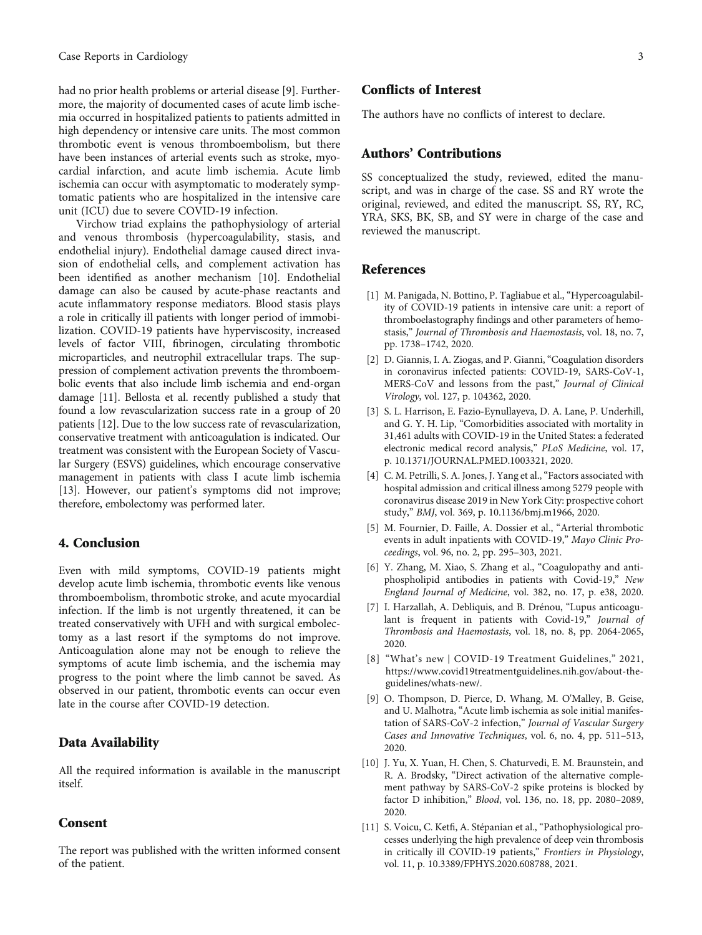<span id="page-2-0"></span>had no prior health problems or arterial disease [9]. Furthermore, the majority of documented cases of acute limb ischemia occurred in hospitalized patients to patients admitted in high dependency or intensive care units. The most common thrombotic event is venous thromboembolism, but there have been instances of arterial events such as stroke, myocardial infarction, and acute limb ischemia. Acute limb ischemia can occur with asymptomatic to moderately symptomatic patients who are hospitalized in the intensive care unit (ICU) due to severe COVID-19 infection.

Virchow triad explains the pathophysiology of arterial and venous thrombosis (hypercoagulability, stasis, and endothelial injury). Endothelial damage caused direct invasion of endothelial cells, and complement activation has been identified as another mechanism [10]. Endothelial damage can also be caused by acute-phase reactants and acute inflammatory response mediators. Blood stasis plays a role in critically ill patients with longer period of immobilization. COVID-19 patients have hyperviscosity, increased levels of factor VIII, fibrinogen, circulating thrombotic microparticles, and neutrophil extracellular traps. The suppression of complement activation prevents the thromboembolic events that also include limb ischemia and end-organ damage [11]. Bellosta et al. recently published a study that found a low revascularization success rate in a group of 20 patients [[12](#page-3-0)]. Due to the low success rate of revascularization, conservative treatment with anticoagulation is indicated. Our treatment was consistent with the European Society of Vascular Surgery (ESVS) guidelines, which encourage conservative management in patients with class I acute limb ischemia [\[13\]](#page-3-0). However, our patient's symptoms did not improve; therefore, embolectomy was performed later.

#### 4. Conclusion

Even with mild symptoms, COVID-19 patients might develop acute limb ischemia, thrombotic events like venous thromboembolism, thrombotic stroke, and acute myocardial infection. If the limb is not urgently threatened, it can be treated conservatively with UFH and with surgical embolectomy as a last resort if the symptoms do not improve. Anticoagulation alone may not be enough to relieve the symptoms of acute limb ischemia, and the ischemia may progress to the point where the limb cannot be saved. As observed in our patient, thrombotic events can occur even late in the course after COVID-19 detection.

#### Data Availability

All the required information is available in the manuscript itself.

#### Consent

The report was published with the written informed consent of the patient.

## Conflicts of Interest

The authors have no conflicts of interest to declare.

# Authors' Contributions

SS conceptualized the study, reviewed, edited the manuscript, and was in charge of the case. SS and RY wrote the original, reviewed, and edited the manuscript. SS, RY, RC, YRA, SKS, BK, SB, and SY were in charge of the case and reviewed the manuscript.

#### References

- [1] M. Panigada, N. Bottino, P. Tagliabue et al., "Hypercoagulability of COVID-19 patients in intensive care unit: a report of thromboelastography findings and other parameters of hemostasis," Journal of Thrombosis and Haemostasis, vol. 18, no. 7, pp. 1738–1742, 2020.
- [2] D. Giannis, I. A. Ziogas, and P. Gianni, "Coagulation disorders in coronavirus infected patients: COVID-19, SARS-CoV-1, MERS-CoV and lessons from the past," Journal of Clinical Virology, vol. 127, p. 104362, 2020.
- [3] S. L. Harrison, E. Fazio-Eynullayeva, D. A. Lane, P. Underhill, and G. Y. H. Lip, "Comorbidities associated with mortality in 31,461 adults with COVID-19 in the United States: a federated electronic medical record analysis," PLoS Medicine, vol. 17, p. 10.1371/JOURNAL.PMED.1003321, 2020.
- [4] C. M. Petrilli, S. A. Jones, J. Yang et al., "Factors associated with hospital admission and critical illness among 5279 people with coronavirus disease 2019 in New York City: prospective cohort study," BMJ, vol. 369, p. 10.1136/bmj.m1966, 2020.
- [5] M. Fournier, D. Faille, A. Dossier et al., "Arterial thrombotic events in adult inpatients with COVID-19," Mayo Clinic Proceedings, vol. 96, no. 2, pp. 295–303, 2021.
- [6] Y. Zhang, M. Xiao, S. Zhang et al., "Coagulopathy and antiphospholipid antibodies in patients with Covid-19," New England Journal of Medicine, vol. 382, no. 17, p. e38, 2020.
- [7] I. Harzallah, A. Debliquis, and B. Drénou, "Lupus anticoagulant is frequent in patients with Covid-19," Journal of Thrombosis and Haemostasis, vol. 18, no. 8, pp. 2064-2065, 2020.
- [8] "What's new | COVID-19 Treatment Guidelines," 2021, [https://www.covid19treatmentguidelines.nih.gov/about-the](https://www.covid19treatmentguidelines.nih.gov/about-the-guidelines/whats-new/)[guidelines/whats-new/.](https://www.covid19treatmentguidelines.nih.gov/about-the-guidelines/whats-new/)
- [9] O. Thompson, D. Pierce, D. Whang, M. O'Malley, B. Geise, and U. Malhotra, "Acute limb ischemia as sole initial manifestation of SARS-CoV-2 infection," Journal of Vascular Surgery Cases and Innovative Techniques, vol. 6, no. 4, pp. 511–513, 2020.
- [10] J. Yu, X. Yuan, H. Chen, S. Chaturvedi, E. M. Braunstein, and R. A. Brodsky, "Direct activation of the alternative complement pathway by SARS-CoV-2 spike proteins is blocked by factor D inhibition," Blood, vol. 136, no. 18, pp. 2080–2089, 2020.
- [11] S. Voicu, C. Ketfi, A. Stépanian et al., "Pathophysiological processes underlying the high prevalence of deep vein thrombosis in critically ill COVID-19 patients," Frontiers in Physiology, vol. 11, p. 10.3389/FPHYS.2020.608788, 2021.